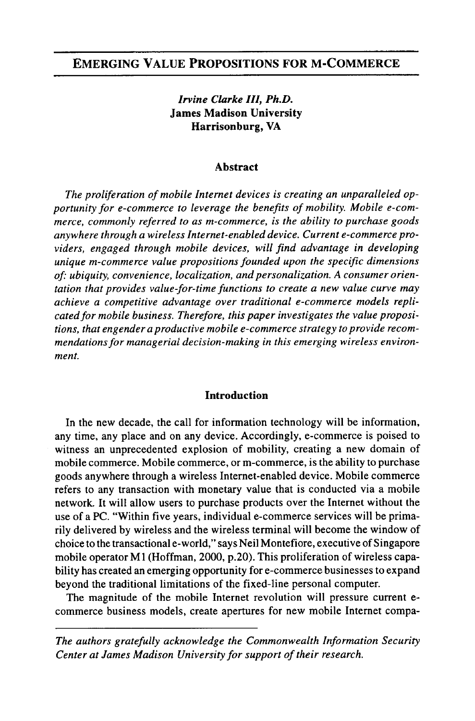# EMERGING VALUE PROPOSITIONS FOR M-COMMERCE

## *Irvine Clarke III, Ph.D.* James Madison University Harrisonburg, VA

#### Abstract

*The proliferation ofmobile Internet devices is creating an unparalleled opportunity for e-commerce to leverage the benefits of mobility. Mobile e-commerce, commonly referred to as m-commerce, is the ability to purchase goods anywhere through a wireless Internet-enabled device. Current e-commerce providers, engaged through mobile devices, will find advantage in developing unique m-commerce value propositions founded upon the specific dimensions*  $of:$  *ubiquity, convenience, localization, and personalization. A consumer orientation that provides value-for-time functions to create a new value curve may achieve a competitive advantage over traditional e-commerce models replicatedfor mobile business. Therefore, this paper investigates the value propositions, that engender a productive mobile e-commerce strategy to provide recommendationsfor managerial decision-making in this emerging wireless environment.*

## Introduction

In the new decade, the call for information technology will be information, any time, any place and on any device. Accordingly, e-commerce is poised to witness an unprecedented explosion of mobility, creating a new domain of mobile commerce. Mobile commerce, or m-commerce, is the ability to purchase goods anywhere through a wireless Internet-enabled device. Mobile commerce refers to any transaction with monetary value that is conducted via a mobile network. It will allow users to purchase products over the Internet without the use of a PC. "Within five years, individual e-commerce services will be primarily delivered by wireless and the wireless terminal will become the window of choice to the transactional e-world," says Neil Montefiore, executive of Singapore mobile operator M1 (Hoffman, 2000, p.20). This proliferation of wireless capability has created an emerging opportunity for e-commerce businesses to expand beyond the traditional limitations of the fixed-line personal computer.

The magnitude of the mobile Internet revolution will pressure current ecommerce business models, create apertures for new mobile Internet compa-

*The authors gratefully acknowledge the Commonwealth Information Security Center* at *James Madison University for support of their research.*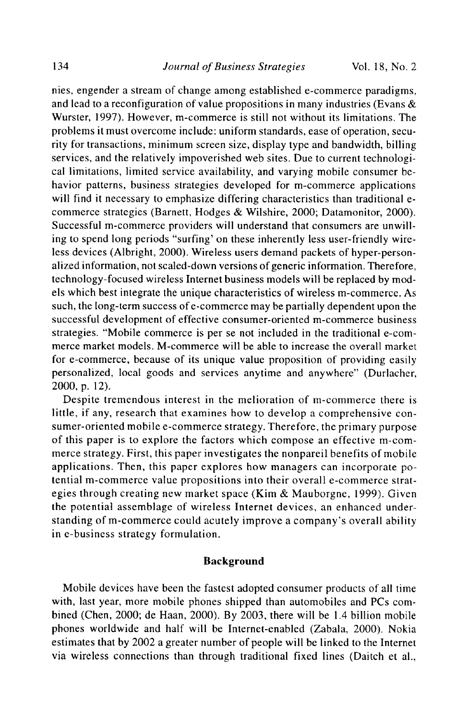nies, engender a stream of change among established e-commerce paradigms, and lead to a reconfiguration of value propositions in many industries (Evans  $\&$ Wurster, 1997). However, m-commerce is still not without its limitations. The problems it must overcome include: uniform standards, ease of operation, security for transactions, minimum screen size, display type and bandwidth, billing services, and the relatively impoverished web sites. Due to current technological limitations, limited service availability, and varying mobile consumer behavior patterns, business strategies developed for m-commerce applications will find it necessary to emphasize differing characteristics than traditional ecommerce strategies (Barnett, Hodges & Wilshire, 2000; Datamonitor, 2000). Successful m-commerce providers will understand that consumers are unwilling to spend long periods "surfing' on these inherently less user-friendly wireless devices (Albright, 2000). Wireless users demand packets of hyper-personalized information, not scaled-down versions of generic information. Therefore, technology-focused wireless Internet business models will be replaced by models which best integrate the unique characteristics of wireless m-commerce. As such, the long-term success of e-commerce may be partially dependent upon the successful development of effective consumer-oriented m-commerce business strategies. "Mobile commerce is per se not included in the traditional e-commerce market models. M-commerce will be able to increase the overall market for e-commerce, because of its unique value proposition of providing easily personalized, local goods and services anytime and anywhere" (Durlacher, 2000, p. 12).

Despite tremendous interest in the melioration of m-commerce there is little, if any, research that examines how to develop a comprehensive consumer-oriented mobile e-commerce strategy. Therefore, the primary purpose of this paper is to explore the factors which compose an effective m-commerce strategy. First, this paper investigates the nonpareil benefits of mobile applications. Then, this paper explores how managers can incorporate potential m-commerce value propositions into their overall e-commerce strategies through creating new market space (Kim  $\&$  Mauborgne, 1999). Given the potential assemblage of wireless Internet devices, an enhanced understanding of m-commerce could acutely improve a company's overall ability in e-business strategy formulation.

## **Background**

Mobile devices have been the fastest adopted consumer products of all time with, last year, more mobile phones shipped than automobiles and PCs combined (Chen, 2000; de Haan, 2000). By 2003, there will be 1.4 billion mobile phones worldwide and half will be Internet-enabled (Zabala, 2000). Nokia estimates that by 2002 a greater number of people will be linked to the Internet via wireless connections than through traditional fixed lines (Daitch et aI.,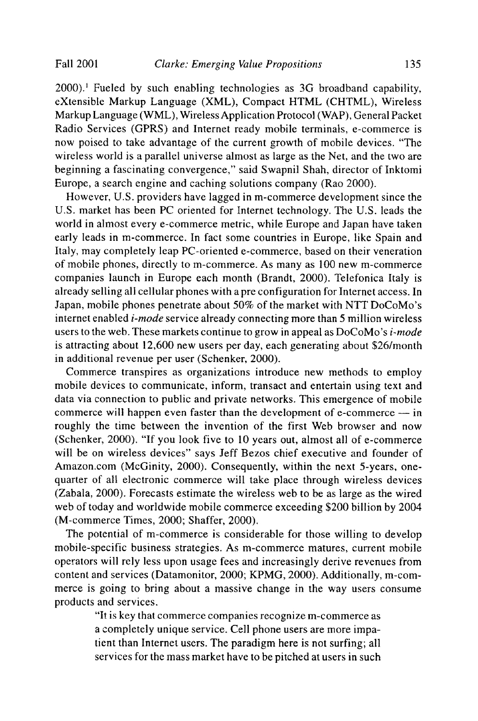$2000$ <sup>1</sup>. Fueled by such enabling technologies as  $3G$  broadband capability, eXtensible Markup Language (XML), Compact HTML (CHTML), Wireless Markup Language (WML), Wireless Application Protocol (WAP), General Packet Radio Services (GPRS) and Internet ready mobile terminals, e-commerce is now poised to take advantage of the current growth of mobile devices. "The wireless world is a parallel universe almost as large as the Net, and the two are beginning a fascinating convergence," said Swapnil Shah, director of Inktomi Europe, a search engine and caching solutions company (Rao 2000).

However, U.S. providers have lagged in m-commerce development since the U.S. market has been PC oriented for Internet technology. The U.S. leads the world in almost every e-commerce metric, while Europe and Japan have taken early leads in m-commerce. In fact some countries in Europe, like Spain and Italy, may completely leap PC-oriented e-commerce, based on their veneration of mobile phones, directly to m-commerce. As many as 100 new m-commerce companies launch in Europe each month (Brandt, 2000). Telefonica Italy is already selling all cellular phones with a pre configuration for Internet access. In Japan, mobile phones penetrate about 50% of the market with NTT DoCoMo's internet enabled *i-mode* service already connecting more than 5 million wireless users to the web. These markets continue to grow in appeal as DoCoMo's *i-mode* is attracting about 12,600 new users per day, each generating about \$26/month in additional revenue per user (Schenker, 2000).

Commerce transpires as organizations introduce new methods to employ mobile devices to communicate, inform, transact and entertain using text and data via connection to public and private networks. This emergence of mobile commerce will happen even faster than the development of e-commerce  $-$  in roughly the time between the invention of the first Web browser and now (Schenker, 2000). "If you look five to 10 years out, almost all of e-commerce will be on wireless devices" says Jeff Bezos chief executive and founder of Amazon.com (McGinity, 2000). Consequently, within the next 5-years, onequarter of all electronic commerce will take place through wireless devices (Zabala, 2000). Forecasts estimate the wireless web to be as large as the wired web of today and worldwide mobile commerce exceeding \$200 billion by 2004 (M-commerce Times, 2000; Shaffer, 2000).

The potential of m-commerce is considerable for those willing to develop mobile-specific business strategies. As m-commerce matures, current mobile operators will rely less upon usage fees and increasingly derive revenues from content and services (Datamonitor, 2000; KPMG, 2000). Additionally, m-commerce is going to bring about a massive change in the way users consume products and services.

> "It is key that commerce companies recognize m-commerce as a completely unique service. Cell phone users are more impatient than Internet users. The paradigm here is not surfing; all services for the mass market have to be pitched at users in such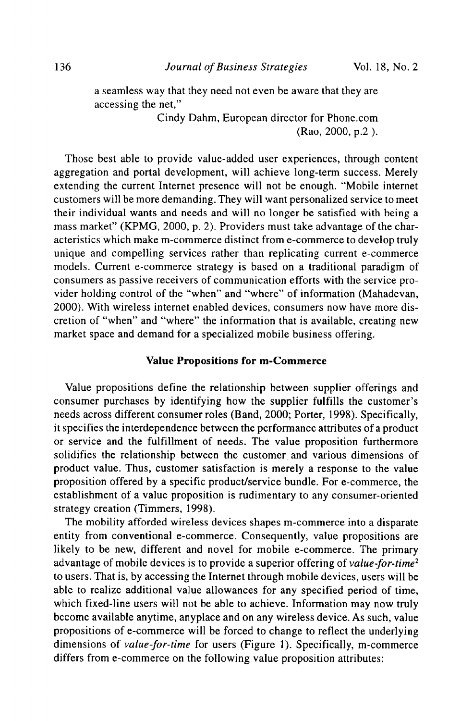a seamless way that they need not even be aware that they are accessing the net,"

> Cindy Dahm, European director for Phone.com (Rao, 2000, p.2 ).

Those best able to provide value-added user experiences, through content aggregation and portal development, will achieve long-term success. Merely extending the current Internet presence will not be enough. "Mobile internet customers will be more demanding. They will want personalized service to meet their individual wants and needs and will no longer be satisfied with being a mass market" (KPMG, 2000, p. 2). Providers must take advantage of the characteristics which make m-commerce distinct from e-commerce to develop truly unique and compelling services rather than replicating current e-commerce models. Current e-commerce strategy is based on a traditional paradigm of consumers as passive receivers of communication efforts with the service provider holding control of the "when" and "where" of information (Mahadevan, 2000). With wireless internet enabled devices, consumers now have more discretion of "when" and "where" the information that is available, creating new market space and demand for a specialized mobile business offering.

#### **Value Propositions for m-Commerce**

Value propositions define the relationship between supplier offerings and consumer purchases by identifying how the supplier fulfills the customer's needs across different consumer roles (Band, 2000; Porter, 1998). Specifically, it specifies the interdependence between the performance attributes of a product or service and the fulfillment of needs. The value proposition furthermore solidifies the relationship between the customer and various dimensions of product value. Thus, customer satisfaction is merely a response to the value proposition offered by a specific product/service bundle. For e-commerce, the establishment of a value proposition is rudimentary to any consumer-oriented strategy creation (Timmers, 1998).

The mobility afforded wireless devices shapes m-commerce into a disparate entity from conventional e-commerce. Consequently, value propositions are likely to be new, different and novel for mobile e-commerce. The primary advantage of mobile devices is to provide a superior offering of *value-for-time2* to users. That is, by accessing the Internet through mobile devices, users will be able to realize additional value allowances for any specified period of time, which fixed-line users will not be able to achieve. Information may now truly become available anytime, anyplace and on any wireless device. As such, value propositions of e-commerce will be forced to change to reflect the underlying dimensions of *value-for-time* for users (Figure 1). Specifically, m-commerce differs from e-commerce on the following value proposition attributes: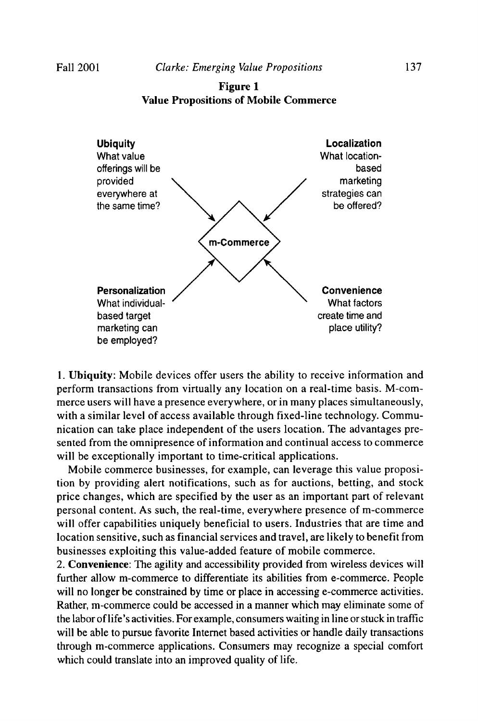Figure 1 Value Propositions of Mobile Commerce



1. Ubiquity: Mobile devices offer users the ability to receive information and perform transactions from virtually any location on a real-time basis. M-commerce users will have a presence everywhere, or in many places simultaneously, with a similar level of access available through fixed-line technology. Communication can take place independent of the users location. The advantages presented from the omnipresence of information and continual access to commerce will be exceptionally important to time-critical applications.

Mobile commerce businesses, for example, can leverage this value proposition by providing alert notifications, such as for auctions, betting, and stock price changes, which are specified by the user as an important part of relevant personal content. As such, the real-time, everywhere presence of m-commerce will offer capabilities uniquely beneficial to users. Industries that are time and location sensitive, such as financial services and travel, are likely to benefit from businesses exploiting this value-added feature of mobile commerce.

2. Convenience: The agility and accessibility provided from wireless devices will further allow m-commerce to differentiate its abilities from e-commerce. People will no longer be constrained by time or place in accessing e-commerce activities. Rather, m-commerce could be accessed in a manner which may eliminate some of the labor oflife's activities. For example, consumers waiting in line orstuck in traffic will be able to pursue favorite Internet based activities or handle daily transactions through m-commerce applications. Consumers may recognize a special comfort which could translate into an improved quality of life.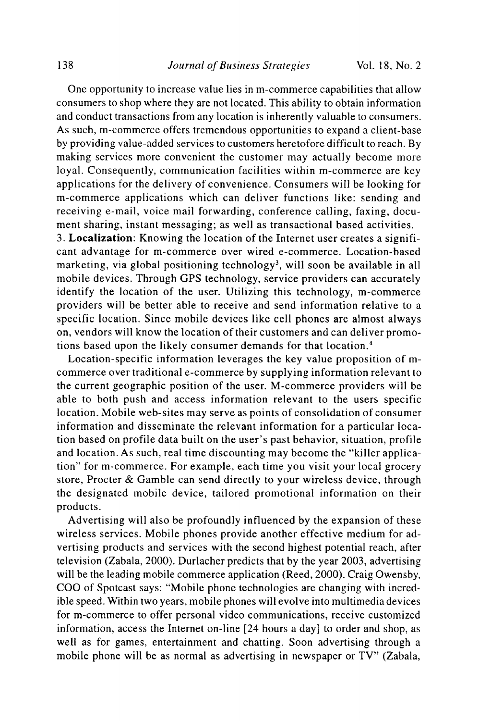One opportunity to increase value lies in m-commerce capabilities that allow consumers to shop where they are not located. This ability to obtain information and conduct transactions from any location is inherently valuable to consumers. As such, m-commerce offers tremendous opportunities to expand a client-base by providing value-added services to customers heretofore difficult to reach. By making services more convenient the customer may actually become more loyal. Consequently, communication facilities within m-commerce are key applications for the delivery of convenience. Consumers will be looking for m-commerce applications which can deliver functions like: sending and receiving e-mail, voice mail forwarding, conference calling, faxing, document sharing, instant messaging; as well as transactional based activities.

3. **Localization:** Knowing the location of the Internet user creates a significant advantage for m-commerce over wired e-commerce. Location-based marketing, via global positioning technology<sup>3</sup>, will soon be available in all mobile devices. Through GPS technology, service providers can accurately identify the location of the user. Utilizing this technology, m-commerce providers will be better able to receive and send information relative to a specific location. Since mobile devices like cell phones are almost always on, vendors will know the location of their customers and can deli ver promotions based upon the likely consumer demands for that location. <sup>4</sup>

Location-specific information leverages the key value proposition of mcommerce over traditional e-commerce by supplying information relevant to the current geographic position of the user. M-commerce providers will be able to both push and access information relevant to the users specific location. Mobile web-sites may serve as points of consolidation of consumer information and disseminate the relevant information for a particular location based on profile data built on the user's past behavior, situation, profile and location. As such, real time discounting may become the "killer application" for m-commerce. For example, each time you visit your local grocery store, Procter & Gamble can send directly to your wireless device, through the designated mobile device, tailored promotional information on their products.

Advertising will also be profoundly influenced by the expansion of these wireless services. Mobile phones provide another effective medium for advertising products and services with the second highest potential reach, after television (Zabala, 2000). Durlacher predicts that by the year 2003, advertising will be the leading mobile commerce application (Reed, 2000). Craig Owensby, COO of Spotcast says: "Mobile phone technologies are changing with incredible speed. Within two years, mobile phones will evolve into multimedia devices for m-commerce to offer personal video communications, receive customized information, access the Internet on-line [24 hours a day] to order and shop, as well as for games, entertainment and chatting. Soon advertising through a mobile phone will be as normal as advertising in newspaper or TV" (Zabala,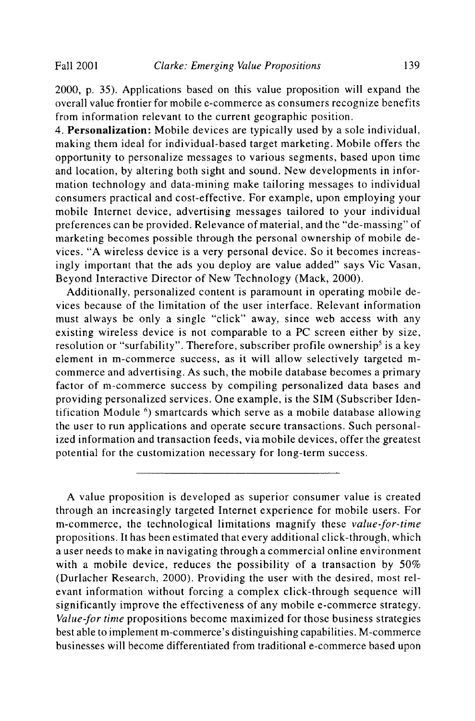2000, p. 35). Applications based on this value proposition will expand the overall value frontier for mobile e-commerce as consumers recognize benefits from information relevant to the current geographic position.

4. Personalization: Mobile devices are typically used by a sole individual, making them ideal for individual-based target marketing. Mobile offers the opportunity to personalize messages to various segments, based upon time and location, by altering both sight and sound. New developments in information technology and data-mining make tailoring messages to individual consumers practical and cost-effective. For example, upon employing your mobile Internet device, advertising messages tailored to your individual preferences can be provided. Relevance of material, and the "de-massing" of marketing becomes possible through the personal ownership of mobile devices. "A wireless device is a very personal device. So it becomes increasingly important that the ads you deploy are value added" says Vic Vasan, Beyond Interactive Director of New Technology (Mack, 2000).

Additionally, personalized content is paramount in operating mobile devices because of the limitation of the user interface. Relevant information must always be only a single "click" away, since web access with any existing wireless device is not comparable to a PC screen either by size, resolution or "surfability". Therefore, subscriber profile ownership<sup>5</sup> is a key element in m-commerce success, as it will allow selectively targeted mcommerce and advertising. As such, the mobile database becomes a primary factor of m-commerce success by compiling personalized data bases and providing personalized services. One example, is the SIM (Subscriber Identification Module <sup>6</sup>) smartcards which serve as a mobile database allowing the user to run applications and operate secure transactions. Such personalized information and transaction feeds, via mobile devices, offer the greatest potential for the customization necessary for long-term success.

A value proposition is developed as superior consumer value is created through an increasingly targeted Internet experience for mobile users. For m-commerce, the technological limitations magnify these *value-far-time* propositions. It has been estimated that every additional click-through, which a user needs to make in navigating through a commercial online environment with a mobile device, reduces the possibility of a transaction by 50% (Durlacher Research, 2000). Providing the user with the desired, most relevant information without forcing a complex click-through sequence will significantly improve the effectiveness of any mobile e-commerce strategy. *Value-for time* propositions become maximized for those business strategies best able to implement m-commerce's distinguishing capabilities. M-commerce businesses will become differentiated from traditional e-commerce based upon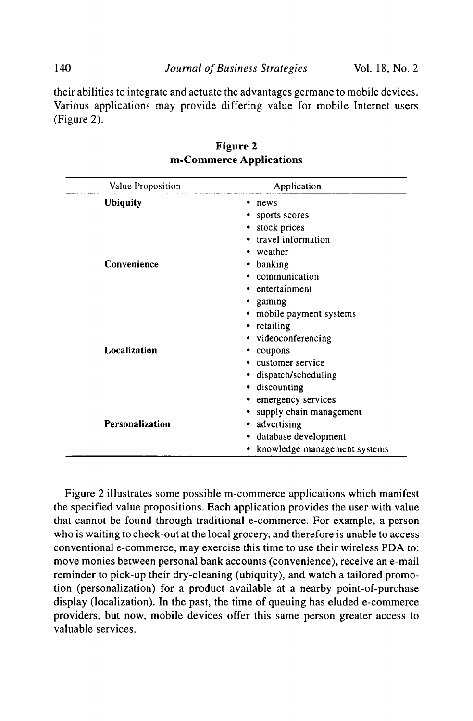140 *Journal ofBusiness Strategies* Vol. 18, No.2

their abilities to integrate and actuate the advantages germane to mobile devices. Various applications may provide differing value for mobile Internet users (Figure 2).

| Value Proposition | Application                  |
|-------------------|------------------------------|
| <b>Ubiquity</b>   | news                         |
|                   | sports scores                |
|                   | • stock prices               |
|                   | • travel information         |
|                   | • weather                    |
| Convenience       | • banking                    |
|                   | communication                |
|                   | entertainment                |
|                   | • gaming                     |
|                   | • mobile payment systems     |
|                   | • retailing                  |
|                   | • videoconferencing          |
| Localization      | coupons                      |
|                   | customer service             |
|                   | dispatch/scheduling          |
|                   | discounting                  |
|                   | emergency services           |
|                   | supply chain management      |
| Personalization   | advertising                  |
|                   | database development         |
|                   | knowledge management systems |

Figure 2 m-Commerce Applications

Figure 2 illustrates some possible m-commerce applications which manifest the specified value propositions. Each application provides the user with value that cannot be found through traditional e-commerce. For example, a person who is waiting to check-out at the local grocery, and therefore is unable to access conventional e-commerce, may exercise this time to use their wireless PDA to: move monies between personal bank accounts (convenience), receive an e-mail reminder to pick-up their dry-cleaning (ubiquity), and watch a tailored promotion (personalization) for a product available at a nearby point-of-purchase display (localization). In the past, the time of queuing has eluded e-commerce providers, but now, mobile devices offer this same person greater access to valuable services.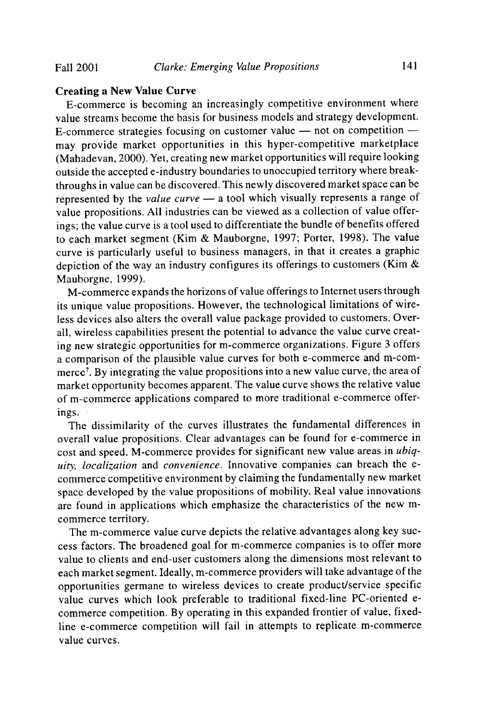### Creating a New Value Curve

E-commerce is becoming an increasingly competitive environment where value streams become the basis for business models and strategy development. E-commerce strategies focusing on customer value  $-$  not on competition  $$ may provide market opportunities in this hyper-competitive marketplace (Mahadevan, 2000). Yet, creating new market opportunities will require looking outside the accepted e-industry boundaries to unoccupied territory where breakthroughs in value can be discovered. This newly discovered market space can be represented by the *value curve* - a tool which visually represents a range of value propositions. All industries can be viewed as a collection of value offerings; the value curve is a tool used to differentiate the bundle of benefits offered to each market segment (Kim & Mauborgne, 1997; Porter, 1998). The value curve is particularly useful to business managers, in that it creates a graphic depiction of the way an industry configures its offerings to customers (Kim  $\&$ Mauborgne, 1999).

M-commerce expands the horizons ofvalue offerings to Internet users through its unique value propositions. However, the technological limitations of wireless devices also alters the overall value package provided to customers. Overall, wireless capabilities present the potential to advance the value curve creating new strategic opportunities for m-commerce organizations. Figure 3 offers a comparison of the plausible value curves for both e-commerce and m-commerce<sup>7</sup>. By integrating the value propositions into a new value curve, the area of market opportunity becomes apparent. The value curve shows the relative value of m-commerce applications compared to more traditional e-commerce offerings.

The dissimilarity of the curves illustrates the fundamental differences in overall value propositions. Clear advantages can be found for e-commerce in cost and speed. M-commerce provides for significant new value areas in *ubiquity, localization* and *convenience.* Innovative companies can breach the ecommerce competitive environment by claiming the fundamentally new market space developed by the value propositions of mobility. Real value innovations are found in applications which emphasize the characteristics of the new mcommerce territory.

The m-commerce value curve depicts the relative advantages along key success factors. The broadened goal for m-commerce companies is to offer more value to clients and end-user customers along the dimensions most relevant to each market segment. Ideally, m-commerce providers will take advantage of the opportunities germane to wireless devices to create product/service specific value curves which look preferable to traditional fixed-line PC-oriented ecommerce competition. By operating in this expanded frontier of value, fixedline e-commerce competition will fail in attempts to replicate m-commerce value curves.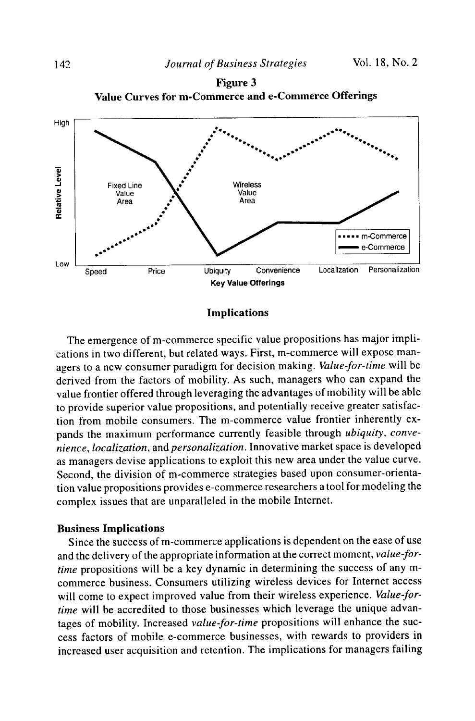



Implications

The emergence of m-commerce specific value propositions has major implications in two different, but related ways. First, m-commerce will expose managers to a new consumer paradigm for decision making. *Value-far-time* will be derived from the factors of mobility. As such, managers who can expand the value frontier offered through leveraging the advantages of mobility will be able to provide superior value propositions, and potentially receive greater satisfaction from mobile consumers. The m-commerce value frontier inherently expands the maximum performance currently feasible through *ubiquity, convenience, localization,* and *personalization.* Innovative market space is developed as managers devise applications to exploit this new area under the value curve. Second, the division of m-commerce strategies based upon consumer-orientation value propositions provides e-commerce researchers a tool for modeling the complex issues that are unparalleled in the mobile Internet.

## Business Implications

Since the success of m-commerce applications is dependent on the ease of use and the delivery of the appropriate information at the correct moment, *value-fortime* propositions will be a key dynamic in determining the success of any mcommerce business. Consumers utilizing wireless devices for Internet access will come to expect improved value from their wireless experience. *Value-fortime* will be accredited to those businesses which leverage the unique advantages of mobility. Increased *value-for-time* propositions will enhance the success factors of mobile e-commerce businesses, with rewards to providers in increased user acquisition and retention. The implications for managers failing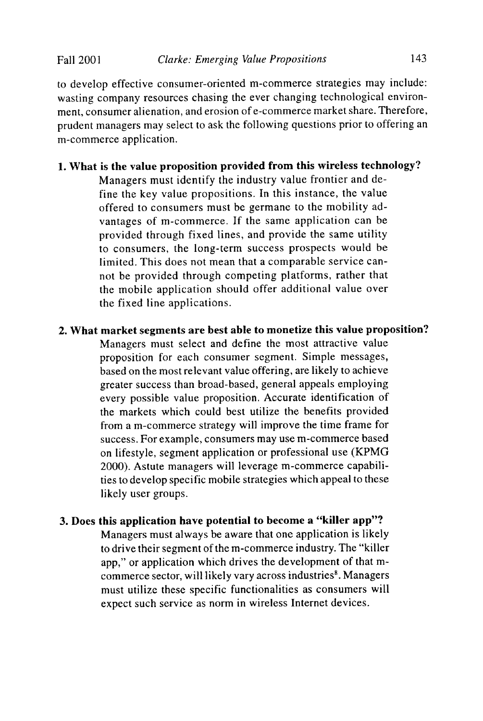to develop effective consumer-oriented m-commerce strategies may include: wasting company resources chasing the ever changing technological environment, consumer alienation, and erosion of e-commerce market share. Therefore, prudent managers may select to ask the following questions prior to offering an m-commerce application.

## 1. What is the value proposition provided from this wireless technology?

Managers must identify the industry value frontier and define the key value propositions. In this instance, the value offered to consumers must be germane to the mobility advantages of m-commerce. If the same application can be provided through fixed lines, and provide the same utility to consumers, the long-term success prospects would be limited. This does not mean that a comparable service cannot be provided through competing platforms, rather that the mobile application should offer additional value over the fixed line applications.

## 2. What market segments are best able to monetize this value proposition? Managers must select and define the most attractive value proposition for each consumer segment. Simple messages, based on the most relevant value offering, are likely to achieve greater success than broad-based, general appeals employing every possible value proposition. Accurate identification of the markets which could best utilize the benefits provided from a m-commerce strategy will improve the time frame for success. For example, consumers may use m-commerce based on lifestyle. segment application or professional use (KPMG 2000). Astute managers will leverage m-commerce capabilities to develop specific mobile strategies which appeal to these likely user groups.

## 3. Does this application have potential to become a "killer app"?

Managers must always be aware that one application is likely to drive their segment of the m-commerce industry. The "killer app," or application which drives the development of that mcommerce sector, will likely vary across industries<sup>8</sup>. Managers must utilize these specific functionalities as consumers will expect such service as norm in wireless Internet devices.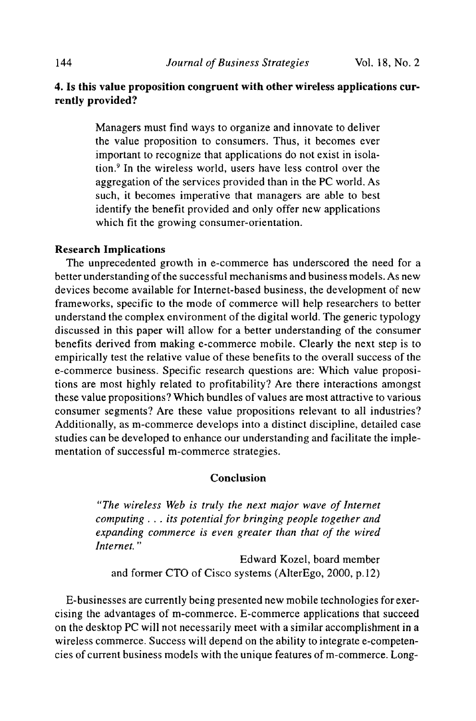## 4. Is this value proposition congruent with other wireless applications currently provided?

Managers must find ways to organize and innovate to deliver the value proposition to consumers. Thus, it becomes ever important to recognize that applications do not exist in isolation. <sup>9</sup> In the wireless world, users have less control over the aggregation of the services provided than in the PC world. As such, it becomes imperative that managers are able to best identify the benefit provided and only offer new applications which fit the growing consumer-orientation.

### Research Implications

The unprecedented growth in e-commerce has underscored the need for a better understanding of the successful mechanisms and business models. As new devices become available for Internet-based business, the development of new frameworks, specific to the mode of commerce will help researchers to better understand the complex environment of the digital world. The generic typology discussed in this paper will allow for a better understanding of the consumer benefits derived from making e-commerce mobile. Clearly the next step is to empirically test the relative value of these benefits to the overall success of the e-commerce business. Specific research questions are: Which value propositions are most highly related to profitability? Are there interactions amongst these value propositions? Which bundles of values are most attractive to various consumer segments? Are these value propositions relevant to all industries? Additionally, as m-commerce develops into a distinct discipline, detailed case studies can be developed to enhance our understanding and facilitate the implementation of successful m-commerce strategies.

## Conclusion

*"The wireless Web is truly the next major wave of Internet computing .* .. *its potential for bringing people together and expanding commerce is even greater than that of the wired Internet. "*

Edward Kozel, board member and former CTO of Cisco systems (AlterEgo, 2000, p.12)

E-businesses are currently being presented new mobile technologies forexercising the advantages of m-commerce. E-commerce applications that succeed on the desktop PC will not necessarily meet with a similar accomplishment in a wireless commerce. Success will depend on the ability to integrate e-competencies of current business models with the unique features of m-commerce. Long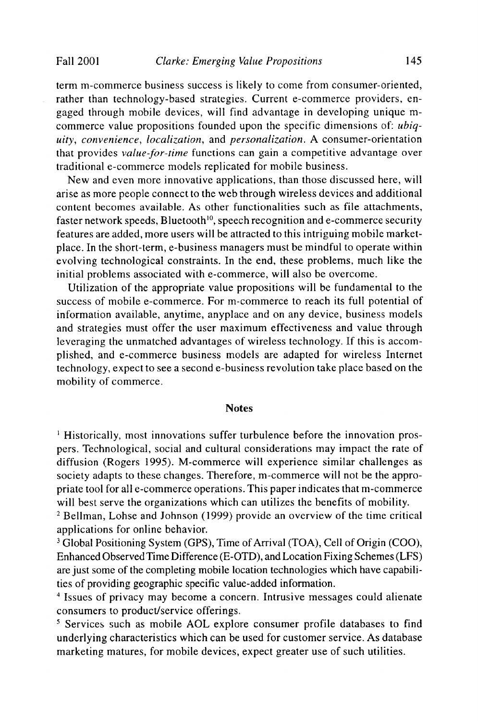term m-commerce business success is likely to come from consumer-oriented, rather than technology-based strategies. Current e-commerce providers, engaged through mobile devices, will find advantage in developing unique mcommerce value propositions founded upon the specific dimensions of: *ubiquity, convenience, localization,* and *personalization.* A consumer-orientation that provides *value-Jor-time* functions can gain a competitive advantage over traditional e-commerce models replicated for mobile business.

New and even more innovative applications, than those discussed here, will arise as more people connect to the web through wireless devices and additional content becomes available. As other functionalities such as file attachments, faster network speeds, Bluetooth<sup>10</sup>, speech recognition and e-commerce security features are added, more users will be attracted to this intriguing mobile marketplace. In the short-term, e-business managers must be mindful to operate within evolving technological constraints. In the end, these problems, much like the initial problems associated with e-commerce, will also be overcome.

Utilization of the appropriate value propositions will be fundamental to the success of mobile e-commerce. For m-commerce to reach its full potential of information available, anytime, anyplace and on any device, business models and strategies must offer the user maximum effectiveness and value through leveraging the unmatched advantages of wireless technology. If this is accomplished, and e-commerce business models are adapted for wireless Internet technology, expect to see a second e-business revolution take place based on the mobility of commerce.

#### Notes

<sup>1</sup> Historically, most innovations suffer turbulence before the innovation prospers. Technological, social and cultural considerations may impact the rate of diffusion (Rogers 1995). M-commerce will experience similar challenges as society adapts to these changes. Therefore, m-commerce will not be the appropriate tool for all e-commerce operations. This paper indicates that m-commerce will best serve the organizations which can utilizes the benefits of mobility.

<sup>2</sup> Bellman, Lohse and Johnson (1999) provide an overview of the time critical applications for online behavior.

<sup>3</sup> Global Positioning System (GPS), Time of Arrival (TOA), Cell of Origin (COO), Enhanced Observed Time Difference (E-OTD), and Location Fixing Schemes(LFS) are just some of the completing mobile location technologies which have capabilities of providing geographic specific value-added information.

<sup>4</sup> Issues of privacy may become a concern. Intrusive messages could alienate consumers to product/service offerings.

<sup>5</sup> Services such as mobile AOL explore consumer profile databases to find underlying characteristics which can be used for customer service. As database marketing matures, for mobile devices, expect greater use of such utilities.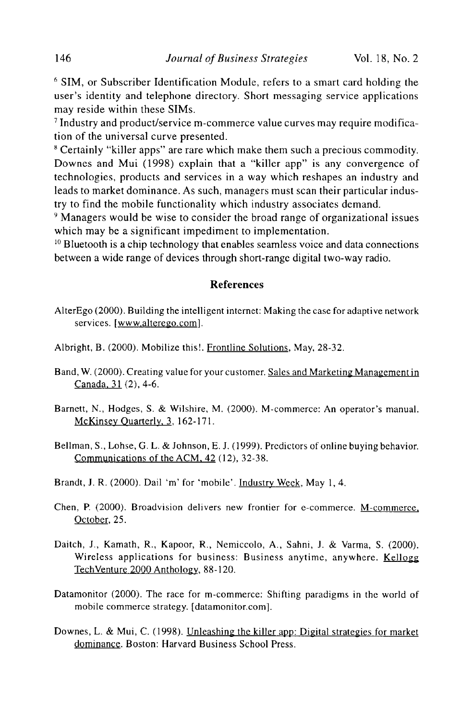<sup>6</sup> SIM, or Subscriber Identification Module, refers to a smart card holding the user's identity and telephone directory. Short messaging service applications may reside within these SIMs.

<sup>7</sup> Industry and product/service m-commerce value curves may require modification of the universal curve presented.

<sup>8</sup> Certainly "killer apps" are rare which make them such a precious commodity. Downes and Mui (1998) explain that a "killer app" is any convergence of technologies, products and services in a way which reshapes an industry and leads to market dominance. As such, managers must scan their particular industry to find the mobile functionality which industry associates demand.

<sup>9</sup> Managers would be wise to consider the broad range of organizational issues which may be a significant impediment to implementation.

 $10$  Bluetooth is a chip technology that enables seamless voice and data connections between a wide range of devices through short-range digital two-way radio.

### **References**

- AlterEgo (2000). Building the intelligent internet: Making the case for adaptive network services. [www.alterego.com].
- Albright, B. (2000). Mobilize this!. Frontline Solutions, May, 28-32.
- Band, W. (2000). Creating value for your customer. Sales and Marketing Management in Canada,  $31(2)$ , 4-6.
- Barnett, N., Hodges, S. & Wilshire, M. (2000). M-commerce: An operator's manual. McKinsey Quarterly, 3, 162-171.
- Bellman, S., Lohse, G. L. & Johnson, E. J. (1999), Predictors of online buying behavior. Communications of the ACM, 42 (12), 32-38.
- Brandt, J. R. (2000). Dail 'm' for 'mobile'. Industry Week, May 1,4.
- Chen, P. (2000). Broadvision delivers new frontier for e-commerce. M-commerce, October, 25,
- Daitch, J., Kamath, R., Kapoor, R., Nemiccolo, A., Sahni, J. & Varma, S. (2000), Wireless applications for business: Business anytime, anywhere. Kellogg TechVenture 2000 Anthology, 88-120.
- Datamonitor (2000). The race for m-commerce: Shifting paradigms in the world of mobile commerce strategy. [datamonitor.com].
- Downes, L. & Mui, C. (1998). Unleashing the killer app: Digital strategies for market dominance, Boston: Harvard Business School Press.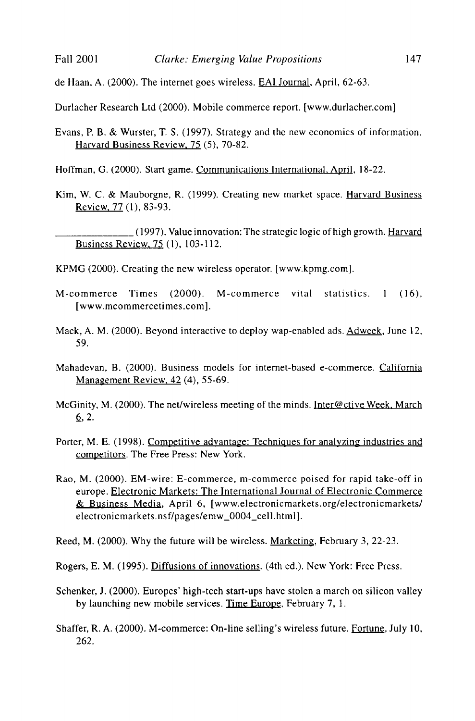de Haan, A. (2000). The internet goes wireless. EAI Journal, April, 62-63.

Durlacher Research Ltd (2000). Mobile commerce report. [www.durlacher.com]

Evans, P. B. & Wurster, T. S. (1997). Strategy and the new economics of information. Harvard Business Review. 75 (5), 70-82.

Hoffman, G. (2000). Start game. Communications International. April, 18-22.

Kim, W. C. & Mauborgne, R. (1999). Creating new market space. Harvard Business Review. 77 (I), 83-93.

\_\_\_\_\_\_(1997). Value innovation: The strategic logic of high growth. Harvard Business Review. 75 (I), 103-112.

KPMG (2000). Creating the new wireless operator. [www.kpmg.com].

- M-commerce Times  $(2000)$ . M-commerce vital statistics. 1  $(16)$ , [www.mcommercetimes.com].
- Mack, A. M. (2000). Beyond interactive to deploy wap-enabled ads. Adweek, June 12, 59.
- Mahadevan, B. (2000). Business models for internet-based e-commerce. California Management Review, 42 (4), 55-69.
- McGinity, M. (2000). The net/wireless meeting of the minds. Inter@ctiveWeek, March  $6, 2.$
- Porter, M. E. (1998). Competitive advantage: Techniques for analyzing industries and competitors. The Free Press: New York.
- Rao, M. (2000). EM-wire: E-commerce, m-commerce poised for rapid take-off in europe. Electronic Markets: The International Journal of Electronic Commerce & Business Media, April 6, [www.electronicmarkets.org/electronicmarkets/ electronicmarkets. nsflpages/emw\_0004\_cell. html].

Reed, M. (2000). Why the future will be wireless. Marketing, February 3, 22-23.

Rogers, E. M. (1995). Diffusions of innovations. (4th ed.). New York: Free Press.

- Schenker. J. (2000). Europes' high-tech start-ups have stolen a march on silicon valley by launching new mobile services. Time Europe, February 7, 1.
- Shaffer, R. A. (2000). M-commerce: On-line selling's wireless future. Fortune, July 10, 262.